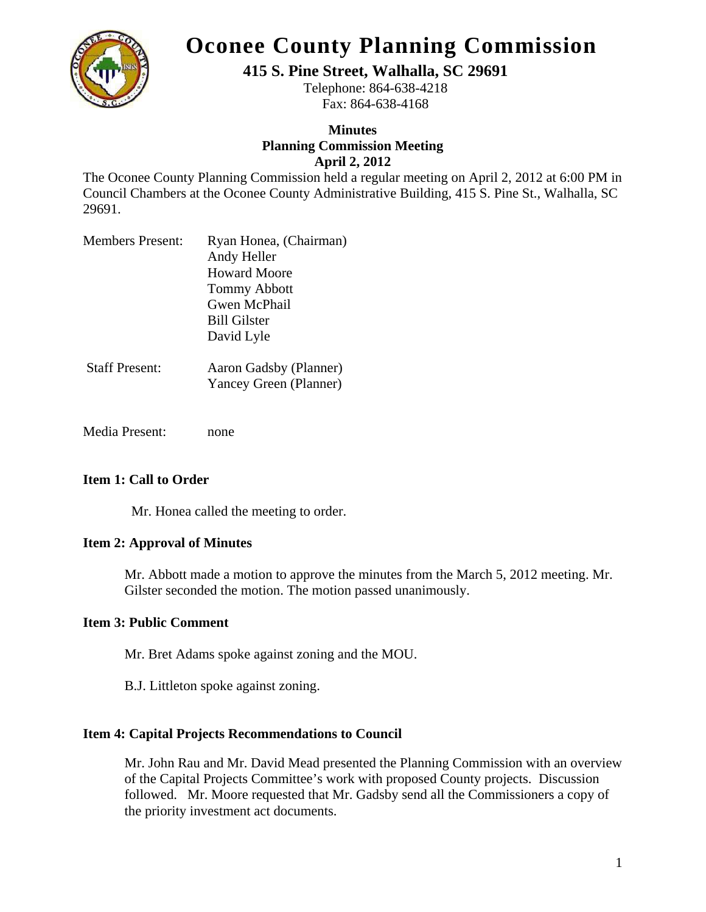

# **Oconee County Planning Commission**

**415 S. Pine Street, Walhalla, SC 29691** 

Telephone: 864-638-4218 Fax: 864-638-4168

# **Minutes Planning Commission Meeting April 2, 2012**

The Oconee County Planning Commission held a regular meeting on April 2, 2012 at 6:00 PM in Council Chambers at the Oconee County Administrative Building, 415 S. Pine St., Walhalla, SC 29691.

| <b>Members Present:</b>                 | Ryan Honea, (Chairman)                                         |
|-----------------------------------------|----------------------------------------------------------------|
|                                         | Andy Heller                                                    |
|                                         | <b>Howard Moore</b>                                            |
|                                         | <b>Tommy Abbott</b>                                            |
|                                         | Gwen McPhail                                                   |
|                                         | <b>Bill Gilster</b>                                            |
|                                         | David Lyle                                                     |
|                                         |                                                                |
| $C_{\ell n}$ $\Omega$ D <sub>rama</sub> | $\Lambda$ and $\Lambda$ and $\Lambda$ is $(Dl_1, \ldots, L_n)$ |

- Staff Present: Aaron Gadsby (Planner) Yancey Green (Planner)
- Media Present: none

# **Item 1: Call to Order**

Mr. Honea called the meeting to order.

## **Item 2: Approval of Minutes**

Mr. Abbott made a motion to approve the minutes from the March 5, 2012 meeting. Mr. Gilster seconded the motion. The motion passed unanimously.

# **Item 3: Public Comment**

Mr. Bret Adams spoke against zoning and the MOU.

B.J. Littleton spoke against zoning.

## **Item 4: Capital Projects Recommendations to Council**

 Mr. John Rau and Mr. David Mead presented the Planning Commission with an overview of the Capital Projects Committee's work with proposed County projects. Discussion followed. Mr. Moore requested that Mr. Gadsby send all the Commissioners a copy of the priority investment act documents.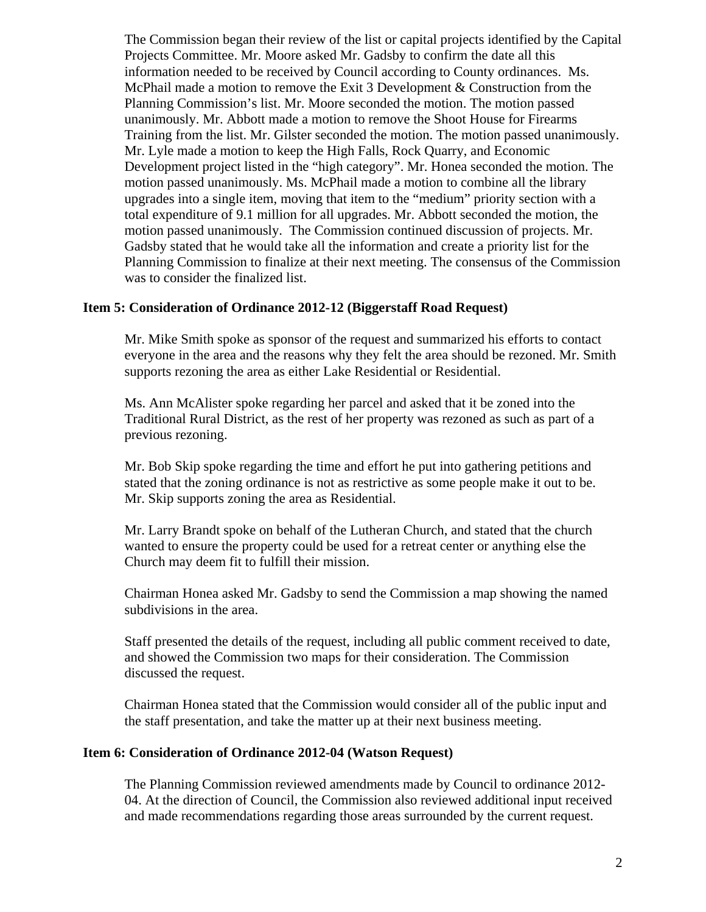The Commission began their review of the list or capital projects identified by the Capital Projects Committee. Mr. Moore asked Mr. Gadsby to confirm the date all this information needed to be received by Council according to County ordinances. Ms. McPhail made a motion to remove the Exit 3 Development & Construction from the Planning Commission's list. Mr. Moore seconded the motion. The motion passed unanimously. Mr. Abbott made a motion to remove the Shoot House for Firearms Training from the list. Mr. Gilster seconded the motion. The motion passed unanimously. Mr. Lyle made a motion to keep the High Falls, Rock Quarry, and Economic Development project listed in the "high category". Mr. Honea seconded the motion. The motion passed unanimously. Ms. McPhail made a motion to combine all the library upgrades into a single item, moving that item to the "medium" priority section with a total expenditure of 9.1 million for all upgrades. Mr. Abbott seconded the motion, the motion passed unanimously. The Commission continued discussion of projects. Mr. Gadsby stated that he would take all the information and create a priority list for the Planning Commission to finalize at their next meeting. The consensus of the Commission was to consider the finalized list.

#### **Item 5: Consideration of Ordinance 2012-12 (Biggerstaff Road Request)**

Mr. Mike Smith spoke as sponsor of the request and summarized his efforts to contact everyone in the area and the reasons why they felt the area should be rezoned. Mr. Smith supports rezoning the area as either Lake Residential or Residential.

Ms. Ann McAlister spoke regarding her parcel and asked that it be zoned into the Traditional Rural District, as the rest of her property was rezoned as such as part of a previous rezoning.

Mr. Bob Skip spoke regarding the time and effort he put into gathering petitions and stated that the zoning ordinance is not as restrictive as some people make it out to be. Mr. Skip supports zoning the area as Residential.

Mr. Larry Brandt spoke on behalf of the Lutheran Church, and stated that the church wanted to ensure the property could be used for a retreat center or anything else the Church may deem fit to fulfill their mission.

Chairman Honea asked Mr. Gadsby to send the Commission a map showing the named subdivisions in the area.

Staff presented the details of the request, including all public comment received to date, and showed the Commission two maps for their consideration. The Commission discussed the request.

Chairman Honea stated that the Commission would consider all of the public input and the staff presentation, and take the matter up at their next business meeting.

#### **Item 6: Consideration of Ordinance 2012-04 (Watson Request)**

The Planning Commission reviewed amendments made by Council to ordinance 2012- 04. At the direction of Council, the Commission also reviewed additional input received and made recommendations regarding those areas surrounded by the current request.